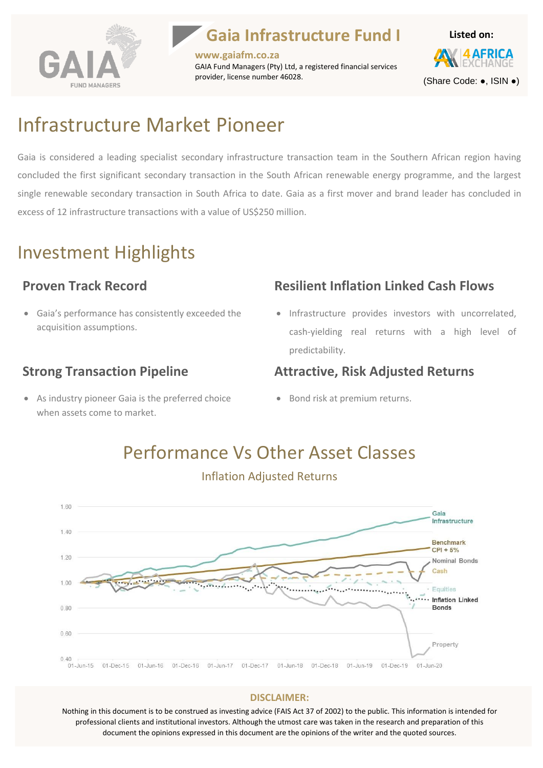

### **Gaia Infrastructure Fund I**

**www.gaiafm.co.za** GAIA Fund Managers (Pty) Ltd, a registered financial services provider, license number 46028.



### Infrastructure Market Pioneer

Gaia is considered a leading specialist secondary infrastructure transaction team in the Southern African region having concluded the first significant secondary transaction in the South African renewable energy programme, and the largest single renewable secondary transaction in South Africa to date. Gaia as a first mover and brand leader has concluded in excess of 12 infrastructure transactions with a value of US\$250 million.

### Investment Highlights

#### **Proven Track Record**

• Gaia's performance has consistently exceeded the acquisition assumptions.

#### **Strong Transaction Pipeline**

• As industry pioneer Gaia is the preferred choice when assets come to market.

#### **Resilient Inflation Linked Cash Flows**

• Infrastructure provides investors with uncorrelated, cash-yielding real returns with a high level of predictability.

#### **Attractive, Risk Adjusted Returns**

• Bond risk at premium returns.



## Performance Vs Other Asset Classes

**DISCLAIMER:**

Nothing in this document is to be construed as investing advice (FAIS Act 37 of 2002) to the public. This information is intended for professional clients and institutional investors. Although the utmost care was taken in the research and preparation of this document the opinions expressed in this document are the opinions of the writer and the quoted sources.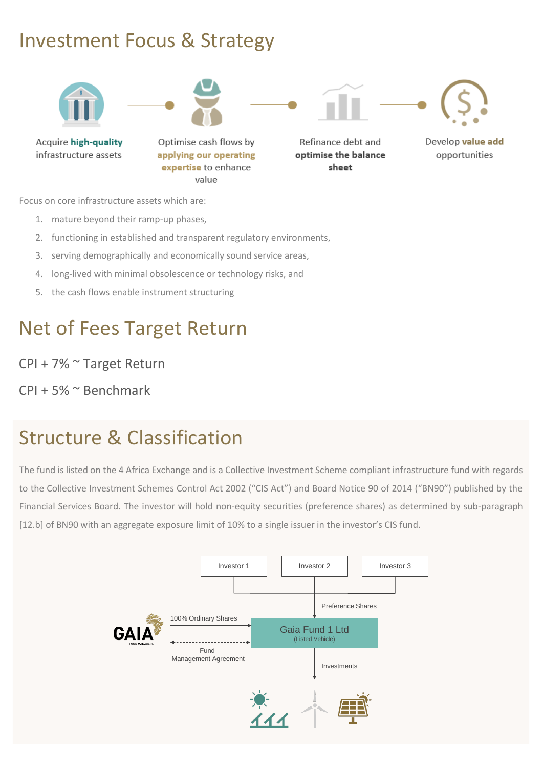### Investment Focus & Strategy



Focus on core infrastructure assets which are:

- 1. mature beyond their ramp-up phases,
- 2. functioning in established and transparent regulatory environments,
- 3. serving demographically and economically sound service areas,
- 4. long-lived with minimal obsolescence or technology risks, and
- 5. the cash flows enable instrument structuring

### Net of Fees Target Return

CPI + 7% ~ Target Return

CPI + 5% ~ Benchmark

## Structure & Classification

The fund is listed on the 4 Africa Exchange and is a Collective Investment Scheme compliant infrastructure fund with regards to the Collective Investment Schemes Control Act 2002 ("CIS Act") and Board Notice 90 of 2014 ("BN90") published by the Financial Services Board. The investor will hold non-equity securities (preference shares) as determined by sub-paragraph [12.b] of BN90 with an aggregate exposure limit of 10% to a single issuer in the investor's CIS fund.